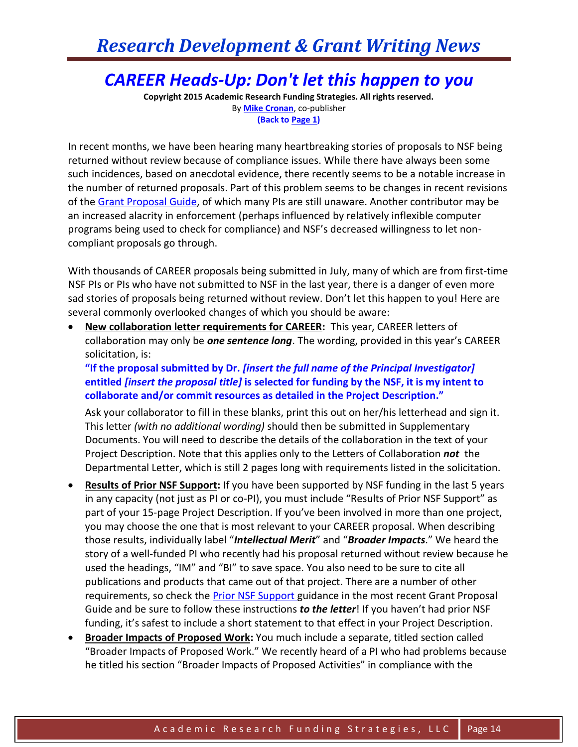## *Research Development & Grant Writing News*

## *CAREER Heads-Up: Don't let this happen to you*

**Copyright 2015 Academic Research Funding Strategies. All rights reserved.** By **[Mike Cronan](mailto:mjcronan@gmail.com)**, co-publisher **(Back to Page 1)**

In recent months, we have been hearing many heartbreaking stories of proposals to NSF being returned without review because of compliance issues. While there have always been some such incidences, based on anecdotal evidence, there recently seems to be a notable increase in the number of returned proposals. Part of this problem seems to be changes in recent revisions of th[e Grant Proposal Guide,](http://www.nsf.gov/publications/pub_summ.jsp?ods_key=gpg) of which many PIs are still unaware. Another contributor may be an increased alacrity in enforcement (perhaps influenced by relatively inflexible computer programs being used to check for compliance) and NSF's decreased willingness to let noncompliant proposals go through.

With thousands of CAREER proposals being submitted in July, many of which are from first-time NSF PIs or PIs who have not submitted to NSF in the last year, there is a danger of even more sad stories of proposals being returned without review. Don't let this happen to you! Here are several commonly overlooked changes of which you should be aware:

 **New collaboration letter requirements for CAREER:** This year, CAREER letters of collaboration may only be *one sentence long*. The wording, provided in this year's CAREER solicitation, is:

**"If the proposal submitted by Dr.** *[insert the full name of the Principal Investigator]* **entitled** *[insert the proposal title]* **is selected for funding by the NSF, it is my intent to collaborate and/or commit resources as detailed in the Project Description."**

Ask your collaborator to fill in these blanks, print this out on her/his letterhead and sign it. This letter *(with no additional wording)* should then be submitted in Supplementary Documents. You will need to describe the details of the collaboration in the text of your Project Description. Note that this applies only to the Letters of Collaboration *not* the Departmental Letter, which is still 2 pages long with requirements listed in the solicitation.

- **Results of Prior NSF Support:** If you have been supported by NSF funding in the last 5 years in any capacity (not just as PI or co-PI), you must include "Results of Prior NSF Support" as part of your 15-page Project Description. If you've been involved in more than one project, you may choose the one that is most relevant to your CAREER proposal. When describing those results, individually label "*Intellectual Merit*" and "*Broader Impacts*." We heard the story of a well-funded PI who recently had his proposal returned without review because he used the headings, "IM" and "BI" to save space. You also need to be sure to cite all publications and products that came out of that project. There are a number of other requirements, so check the [Prior NSF Support g](http://www.nsf.gov/pubs/policydocs/pappguide/nsf15001/gpg_2.jsp#IIC2diii)uidance in the most recent Grant Proposal Guide and be sure to follow these instructions *to the letter*! If you haven't had prior NSF funding, it's safest to include a short statement to that effect in your Project Description.
- **Broader Impacts of Proposed Work:** You much include a separate, titled section called "Broader Impacts of Proposed Work." We recently heard of a PI who had problems because he titled his section "Broader Impacts of Proposed Activities" in compliance with the